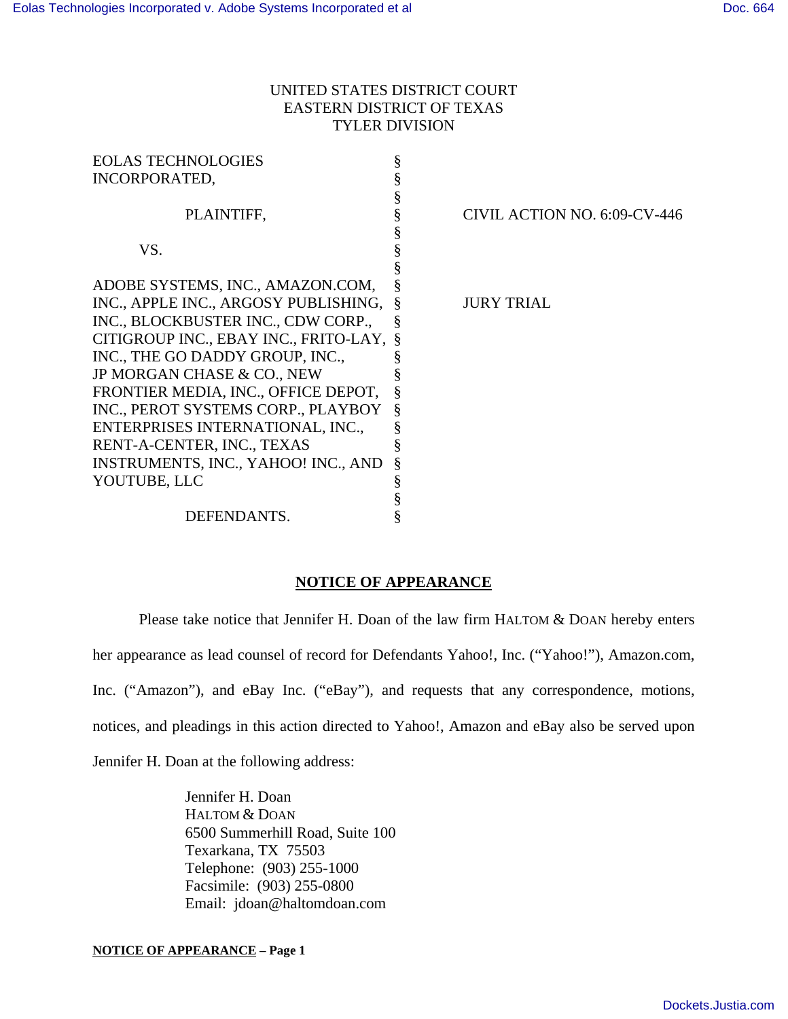## UNITED STATES DISTRICT COURT EASTERN DISTRICT OF TEXAS TYLER DIVISION

|   | CIVIL ACTION NO. 6:09-CV-446          |
|---|---------------------------------------|
|   |                                       |
|   |                                       |
|   |                                       |
|   |                                       |
|   | <b>JURY TRIAL</b>                     |
|   |                                       |
|   |                                       |
|   |                                       |
|   |                                       |
|   |                                       |
| § |                                       |
|   |                                       |
|   |                                       |
|   |                                       |
| § |                                       |
|   |                                       |
|   |                                       |
|   | CITIGROUP INC., EBAY INC., FRITO-LAY, |

## **NOTICE OF APPEARANCE**

Please take notice that Jennifer H. Doan of the law firm HALTOM & DOAN hereby enters

her appearance as lead counsel of record for Defendants Yahoo!, Inc. ("Yahoo!"), Amazon.com,

Inc. ("Amazon"), and eBay Inc. ("eBay"), and requests that any correspondence, motions,

notices, and pleadings in this action directed to Yahoo!, Amazon and eBay also be served upon

Jennifer H. Doan at the following address:

Jennifer H. Doan HALTOM & DOAN 6500 Summerhill Road, Suite 100 Texarkana, TX 75503 Telephone: (903) 255-1000 Facsimile: (903) 255-0800 Email: jdoan@haltomdoan.com

**NOTICE OF APPEARANCE – Page 1**